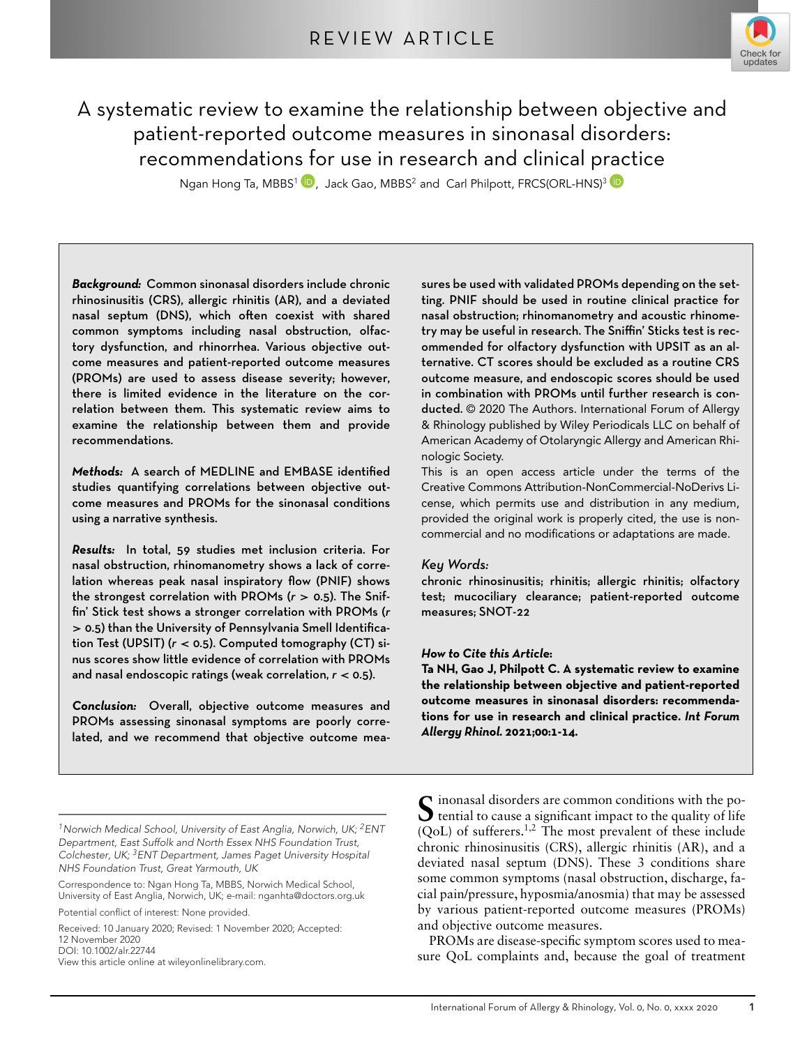

# A systematic review to examine the relationship between objective and patient-reported outcome measures in sinonasal disorders recommendations for use in research and clinical practice

Ngan Hong Ta[,](https://orcid.org/0000-0002-8747-5329) MBBS<sup>1</sup> <sup>1</sup>, Jack Gao, MBBS<sup>2</sup> and Carl Philpott, FRCS(ORL-HNS)<sup>3</sup> <sup>1</sup>

*Background-* Common sinonasal disorders include chronic rhinosinusitis (CRS), allergic rhinitis (AR), and a deviated nasal septum (DNS), which often coexist with shared common symptoms including nasal obstruction, olfactory dysfunction, and rhinorrhea. Various objective outcome measures and patient-reported outcome measures (PROMs) are used to assess disease severity; however, there is limited evidence in the literature on the correlation between them. This systematic review aims to examine the relationship between them and provide recommendations

*Methods-* A search of MEDLINE and EMBASE identified studies quantifying correlations between objective outcome measures and PROMs for the sinonasal conditions using a narrative synthesis

Results: In total, 59 studies met inclusion criteria. For nasal obstruction, rhinomanometry shows a lack of correlation whereas peak nasal inspiratory flow (PNIF) shows the strongest correlation with PROMs (r > 0.5). The Sniffin' Stick test shows a stronger correlation with PROMs (*r >* than the University of Pennsylvania Smell Identification Test (UPSIT) (r < 0.5). Computed tomography (CT) sinus scores show little evidence of correlation with PROMs and nasal endoscopic ratings (weak correlation,  $r <$  0.5).

Conclusion: Overall, objective outcome measures and PROMs assessing sinonasal symptoms are poorly correlated, and we recommend that objective outcome measures be used with validated PROMs depending on the setting. PNIF should be used in routine clinical practice for nasal obstruction; rhinomanometry and acoustic rhinometry may be useful in research. The Sniffin' Sticks test is recommended for olfactory dysfunction with UPSIT as an alternative. CT scores should be excluded as a routine CRS outcome measure, and endoscopic scores should be used in combination with PROMs until further research is conducted. © 2020 The Authors. International Forum of Allergy & Rhinology published by Wiley Periodicals LLC on behalf of American Academy of Otolaryngic Allergy and American Rhinologic Society.

This is an open access article under the terms of the [Creative Commons Attribution-NonCommercial-NoDerivs](http://creativecommons.org/licenses/by-nc-nd/4.0/) License, which permits use and distribution in any medium, provided the original work is properly cited, the use is noncommercial and no modifications or adaptations are made.

# *Key Words-*

chronic rhinosinusitis; rhinitis; allergic rhinitis; olfactory test; mucociliary clearance; patient-reported outcome measures; SNOT-22

# *How to Cite this Article***-**

Ta NH, Gao J, Philpott C. A systematic review to examine **the relationship between objective and patient-reported outcome measures in sinonasal disorders- recommendations for use in research and clinical practice** *Int Forum* Allergy Rhinol. 2021;00<mark>:1-1</mark>4.

Correspondence to: Ngan Hong Ta, MBBS, Norwich Medical School, University of East Anglia, Norwich, UK; e-mail: nganhta@doctors.org.uk

Potential conflict of interest: None provided.

Received: 10 January 2020; Revised: 1 November 2020; Accepted: 12 November 2020 DOI: 10.1002/alr.22744 View this article online at wileyonlinelibrary.com.

S inonasal disorders are common conditions with the po-<br>tential to cause a significant impact to the quality of life (QoL) of sufferers.1,2 The most prevalent of these include chronic rhinosinusitis (CRS), allergic rhinitis (AR), and a deviated nasal septum (DNS). These 3 conditions share some common symptoms (nasal obstruction, discharge, facial pain/pressure, hyposmia/anosmia) that may be assessed by various patient-reported outcome measures (PROMs) and objective outcome measures.

PROMs are disease-specific symptom scores used to measure QoL complaints and, because the goal of treatment

*<sup>1</sup>Norwich Medical School, University of East Anglia, Norwich, UK; 2ENT Department, East Suffolk and North Essex NHS Foundation Trust, Colchester, UK; 3ENT Department, James Paget University Hospital NHS Foundation Trust, Great Yarmouth, UK*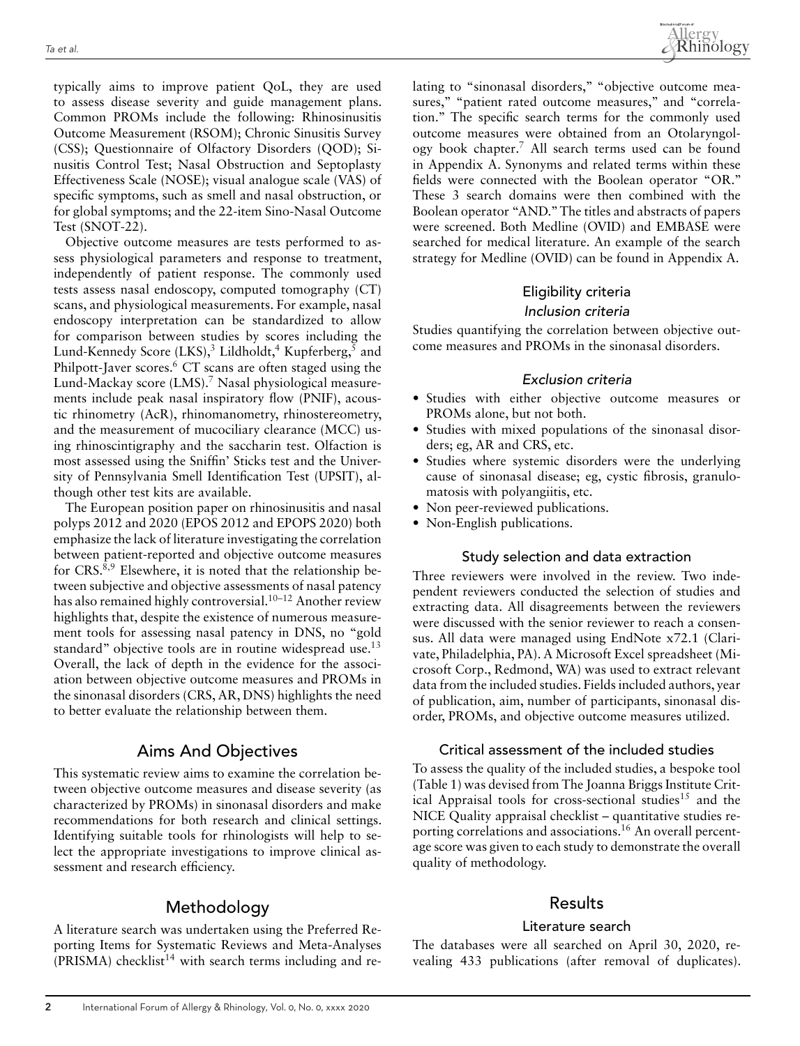typically aims to improve patient QoL, they are used to assess disease severity and guide management plans. Common PROMs include the following: Rhinosinusitis Outcome Measurement (RSOM); Chronic Sinusitis Survey (CSS); Questionnaire of Olfactory Disorders (QOD); Sinusitis Control Test; Nasal Obstruction and Septoplasty Effectiveness Scale (NOSE); visual analogue scale (VAS) of specific symptoms, such as smell and nasal obstruction, or for global symptoms; and the 22-item Sino-Nasal Outcome Test (SNOT-22).

Objective outcome measures are tests performed to assess physiological parameters and response to treatment, independently of patient response. The commonly used tests assess nasal endoscopy, computed tomography (CT) scans, and physiological measurements. For example, nasal endoscopy interpretation can be standardized to allow for comparison between studies by scores including the Lund-Kennedy Score  $(LKS)$ ,<sup>3</sup> Lildholdt,<sup>4</sup> Kupferberg,<sup>5</sup> and Philpott-Javer scores.<sup>6</sup> CT scans are often staged using the Lund-Mackay score  $(LMS)$ .<sup>7</sup> Nasal physiological measurements include peak nasal inspiratory flow (PNIF), acoustic rhinometry (AcR), rhinomanometry, rhinostereometry, and the measurement of mucociliary clearance (MCC) using rhinoscintigraphy and the saccharin test. Olfaction is most assessed using the Sniffin' Sticks test and the University of Pennsylvania Smell Identification Test (UPSIT), although other test kits are available.

The European position paper on rhinosinusitis and nasal polyps 2012 and 2020 (EPOS 2012 and EPOPS 2020) both emphasize the lack of literature investigating the correlation between patient-reported and objective outcome measures for CRS.<sup>8,9</sup> Elsewhere, it is noted that the relationship between subjective and objective assessments of nasal patency has also remained highly controversial.<sup>10–12</sup> Another review highlights that, despite the existence of numerous measurement tools for assessing nasal patency in DNS, no "gold standard" objective tools are in routine widespread use.<sup>13</sup> Overall, the lack of depth in the evidence for the association between objective outcome measures and PROMs in the sinonasal disorders (CRS, AR, DNS) highlights the need to better evaluate the relationship between them.

# Aims And Objectives

This systematic review aims to examine the correlation between objective outcome measures and disease severity (as characterized by PROMs) in sinonasal disorders and make recommendations for both research and clinical settings. Identifying suitable tools for rhinologists will help to select the appropriate investigations to improve clinical assessment and research efficiency.

# Methodology

A literature search was undertaken using the Preferred Reporting Items for Systematic Reviews and Meta-Analyses  $(PRISMA)$  checklist<sup>14</sup> with search terms including and relating to "sinonasal disorders," "objective outcome measures," "patient rated outcome measures," and "correlation." The specific search terms for the commonly used outcome measures were obtained from an Otolaryngology book chapter.7 All search terms used can be found in Appendix A. Synonyms and related terms within these fields were connected with the Boolean operator "OR." These 3 search domains were then combined with the Boolean operator "AND."The titles and abstracts of papers were screened. Both Medline (OVID) and EMBASE were searched for medical literature. An example of the search strategy for Medline (OVID) can be found in Appendix A.

# Eligibility criteria

# Inclusion criteria

Studies quantifying the correlation between objective outcome measures and PROMs in the sinonasal disorders.

## Exclusion criteria

- Studies with either objective outcome measures or PROMs alone, but not both.
- Studies with mixed populations of the sinonasal disorders; eg, AR and CRS, etc.
- Studies where systemic disorders were the underlying cause of sinonasal disease; eg, cystic fibrosis, granulomatosis with polyangiitis, etc.
- Non peer-reviewed publications.
- Non-English publications.

## Study selection and data extraction

Three reviewers were involved in the review. Two independent reviewers conducted the selection of studies and extracting data. All disagreements between the reviewers were discussed with the senior reviewer to reach a consensus. All data were managed using EndNote x72.1 (Clarivate, Philadelphia, PA). A Microsoft Excel spreadsheet (Microsoft Corp., Redmond, WA) was used to extract relevant data from the included studies. Fields included authors, year of publication, aim, number of participants, sinonasal disorder, PROMs, and objective outcome measures utilized.

## Critical assessment of the included studies

To assess the quality of the included studies, a bespoke tool (Table 1) was devised from The Joanna Briggs Institute Critical Appraisal tools for cross-sectional studies<sup>15</sup> and the NICE Quality appraisal checklist – quantitative studies reporting correlations and associations.<sup>16</sup> An overall percentage score was given to each study to demonstrate the overall quality of methodology.

# Results

#### Literature search

The databases were all searched on April 30, 2020, revealing 433 publications (after removal of duplicates).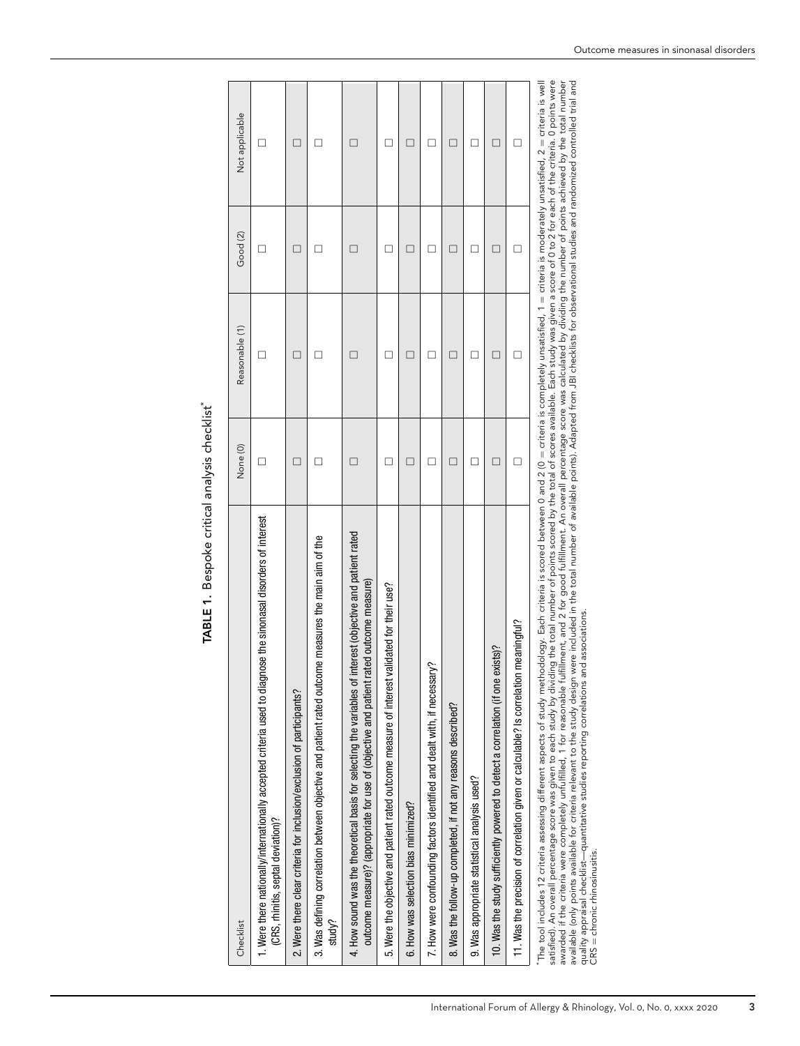| Checklist                                                                                                                                                                                                                                                                                                                                                                                                                                                                                                                                                                                                                                                                                                                                                                                                                                                                                                                                                                                                                                                    | None (0) | Reasonable (1) | Good <sub>(2)</sub> | Not applicable |
|--------------------------------------------------------------------------------------------------------------------------------------------------------------------------------------------------------------------------------------------------------------------------------------------------------------------------------------------------------------------------------------------------------------------------------------------------------------------------------------------------------------------------------------------------------------------------------------------------------------------------------------------------------------------------------------------------------------------------------------------------------------------------------------------------------------------------------------------------------------------------------------------------------------------------------------------------------------------------------------------------------------------------------------------------------------|----------|----------------|---------------------|----------------|
| 1. Were there nationally/internationally accepted criteria used to diagnose the sinonasal disorders of interest<br>(CRS, rhinitis, septal deviation)?                                                                                                                                                                                                                                                                                                                                                                                                                                                                                                                                                                                                                                                                                                                                                                                                                                                                                                        | $\Box$   | $\Box$         | □                   | □              |
| 2. Were there clear criteria for inclusion/exclusion of participants?                                                                                                                                                                                                                                                                                                                                                                                                                                                                                                                                                                                                                                                                                                                                                                                                                                                                                                                                                                                        | □        | □              | □                   | □              |
| 3. Was defining correlation between objective and patient rated outcome measures the main aim of the<br>study?                                                                                                                                                                                                                                                                                                                                                                                                                                                                                                                                                                                                                                                                                                                                                                                                                                                                                                                                               | □        | □              | □                   | □              |
| 4. How sound was the theoretical basis for selecting the variables of interest (objective and patient rated<br>outcome measure)? (appropriate for use of (objective and patient rated outcome measure)                                                                                                                                                                                                                                                                                                                                                                                                                                                                                                                                                                                                                                                                                                                                                                                                                                                       | $\Box$   | $\Box$         | □                   | $\Box$         |
| lidated for their use?<br>5. Were the objective and patient rated outcome measure of interest val                                                                                                                                                                                                                                                                                                                                                                                                                                                                                                                                                                                                                                                                                                                                                                                                                                                                                                                                                            | $\Box$   | □              | □                   | □              |
| 6. How was selection bias minimized?                                                                                                                                                                                                                                                                                                                                                                                                                                                                                                                                                                                                                                                                                                                                                                                                                                                                                                                                                                                                                         | □        | □              | □                   | □              |
| 7. How were confounding factors identified and dealt with, if necessary?                                                                                                                                                                                                                                                                                                                                                                                                                                                                                                                                                                                                                                                                                                                                                                                                                                                                                                                                                                                     | □        | □              | □                   | □              |
| 8. Was the follow-up completed, if not any reasons described?                                                                                                                                                                                                                                                                                                                                                                                                                                                                                                                                                                                                                                                                                                                                                                                                                                                                                                                                                                                                | □        | □              | □                   | □              |
| 9. Was appropriate statistical analysis used?                                                                                                                                                                                                                                                                                                                                                                                                                                                                                                                                                                                                                                                                                                                                                                                                                                                                                                                                                                                                                | □        | □              | □                   | □              |
| 10. Was the study sufficiently powered to detect a correlation (if one exists)?                                                                                                                                                                                                                                                                                                                                                                                                                                                                                                                                                                                                                                                                                                                                                                                                                                                                                                                                                                              | □        | □              | □                   | □              |
| 11. Was the precision of correlation given or calculable? Is correlation meaningful?                                                                                                                                                                                                                                                                                                                                                                                                                                                                                                                                                                                                                                                                                                                                                                                                                                                                                                                                                                         | $\Box$   | $\Box$         | □                   | □              |
| satisfied). An overall percentage score was given to each study by dividing the total number of points scored by the total of scores available. Each study was given a score of 0 to 2 for each of the criteria. O points were<br>awarded if the criteria were completely unfulfilled, 1 for reasonable fulfilment, and 2 for good fulfillment. An overall percentage score was calculated by dividing the number of points achieved by the total number<br>The tool includes 12 criteria assessing different aspects of study methodology. Each criteria is scored between 0 and 2 (0 = criteria is completely unsatisfied, 1 = criteria is moderately unsatisfied, 2 = criteria is well<br>available (only points available for criteria relevant to the study design were included in the total number of available points). Adapted from JBI checklists for observational studies and randomized controlled trial and<br>associations.<br>quality appraisal checklist—quantitative studies reporting correlations and<br>$CRS =$ chronic rhinosinusitis. |          |                |                     |                |

TABLE 1. Bespoke critical analysis checklist\* **TABLE 1.** Bespoke critical analysis checklist\*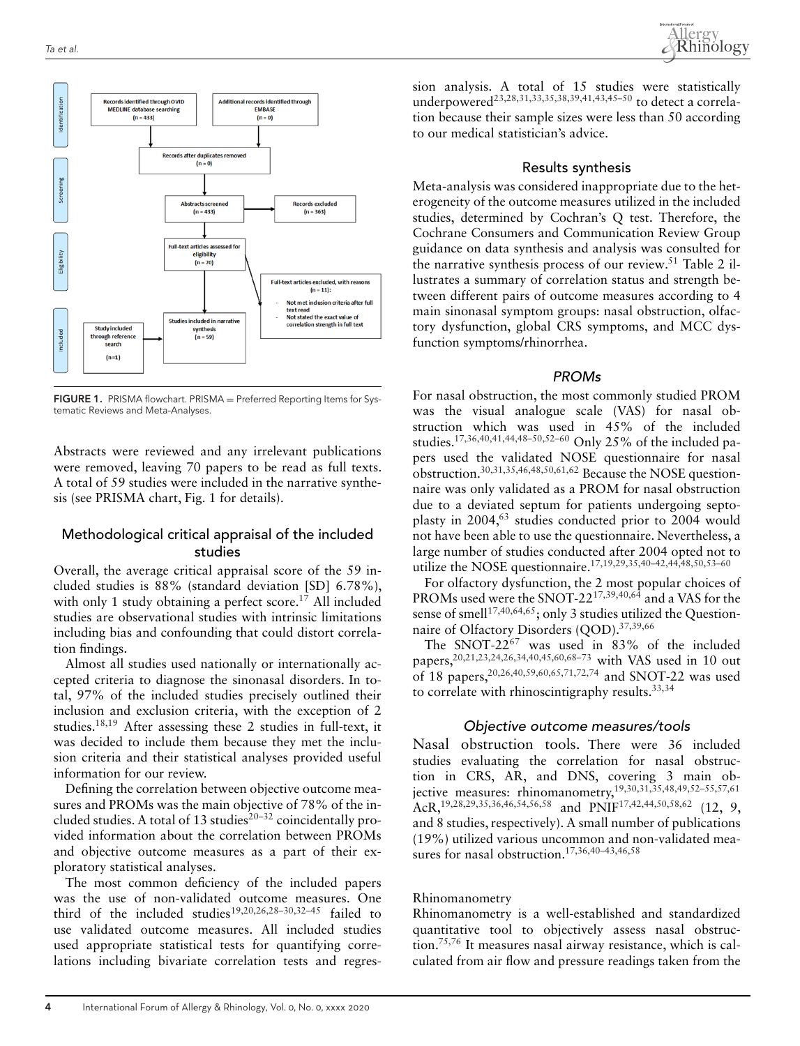

**FIGURE 1.** PRISMA flowchart. PRISMA = Preferred Reporting Items for Systematic Reviews and Meta-Analyses.

Abstracts were reviewed and any irrelevant publications were removed, leaving 70 papers to be read as full texts. A total of 59 studies were included in the narrative synthesis (see PRISMA chart, Fig. 1 for details).

## Methodological critical appraisal of the included studies

Overall, the average critical appraisal score of the 59 included studies is 88% (standard deviation [SD] 6.78%), with only 1 study obtaining a perfect score.<sup>17</sup> All included studies are observational studies with intrinsic limitations including bias and confounding that could distort correlation findings.

Almost all studies used nationally or internationally accepted criteria to diagnose the sinonasal disorders. In total, 97% of the included studies precisely outlined their inclusion and exclusion criteria, with the exception of 2 studies.18,19 After assessing these 2 studies in full-text, it was decided to include them because they met the inclusion criteria and their statistical analyses provided useful information for our review.

Defining the correlation between objective outcome measures and PROMs was the main objective of 78% of the included studies. A total of 13 studies<sup>20-32</sup> coincidentally provided information about the correlation between PROMs and objective outcome measures as a part of their exploratory statistical analyses.

The most common deficiency of the included papers was the use of non-validated outcome measures. One third of the included studies<sup>19,20,26,28-30,32-45</sup> failed to use validated outcome measures. All included studies used appropriate statistical tests for quantifying correlations including bivariate correlation tests and regression analysis. A total of 15 studies were statistically underpowered<sup>23,28,31,33,35,38,39,41,43,45–50</sup> to detect a correlation because their sample sizes were less than 50 according to our medical statistician's advice.

### Results synthesis

Meta-analysis was considered inappropriate due to the heterogeneity of the outcome measures utilized in the included studies, determined by Cochran's Q test. Therefore, the Cochrane Consumers and Communication Review Group guidance on data synthesis and analysis was consulted for the narrative synthesis process of our review.<sup>51</sup> Table 2 illustrates a summary of correlation status and strength between different pairs of outcome measures according to 4 main sinonasal symptom groups: nasal obstruction, olfactory dysfunction, global CRS symptoms, and MCC dysfunction symptoms/rhinorrhea.

#### PROMs

For nasal obstruction, the most commonly studied PROM was the visual analogue scale (VAS) for nasal obstruction which was used in 45% of the included studies.17,36,40,41,44,48–50,52–60 Only 25% of the included papers used the validated NOSE questionnaire for nasal obstruction.30,31,35,46,48,50,61,62 Because the NOSE questionnaire was only validated as a PROM for nasal obstruction due to a deviated septum for patients undergoing septoplasty in  $2004<sup>63</sup>$  studies conducted prior to 2004 would not have been able to use the questionnaire. Nevertheless, a large number of studies conducted after 2004 opted not to utilize the NOSE questionnaire.17,19,29,35,40–42,44,48,50,53–60

For olfactory dysfunction, the 2 most popular choices of PROMs used were the SNOT-2217,39,40,64 and a VAS for the sense of smell<sup>17,40,64,65</sup>; only 3 studies utilized the Questionnaire of Olfactory Disorders (OOD).<sup>37,39,66</sup>

The SNOT-22 $^{67}$  was used in 83% of the included papers,<sup>20,21,23,24,26,34,40,45,60,68–73</sup> with VAS used in 10 out of 18 papers,20,26,40,59,60,65,71,72,74 and SNOT-22 was used to correlate with rhinoscintigraphy results.<sup>33,34</sup>

## Objective outcome measures/tools

Nasal obstruction tools. There were 36 included studies evaluating the correlation for nasal obstruction in CRS, AR, and DNS, covering 3 main objective measures: rhinomanometry,19,30,31,35,48,49,52–55,57,61 AcR,<sup>19,28,29,35,36,46,54,56,58</sup> and PNIF<sup>17,42,44,50,58,62</sup> (12, 9, and 8 studies, respectively). A small number of publications (19%) utilized various uncommon and non-validated measures for nasal obstruction.<sup>17,36,40-43,46,58</sup>

#### Rhinomanometry

Rhinomanometry is a well-established and standardized quantitative tool to objectively assess nasal obstruction.<sup>75,76</sup> It measures nasal airway resistance, which is calculated from air flow and pressure readings taken from the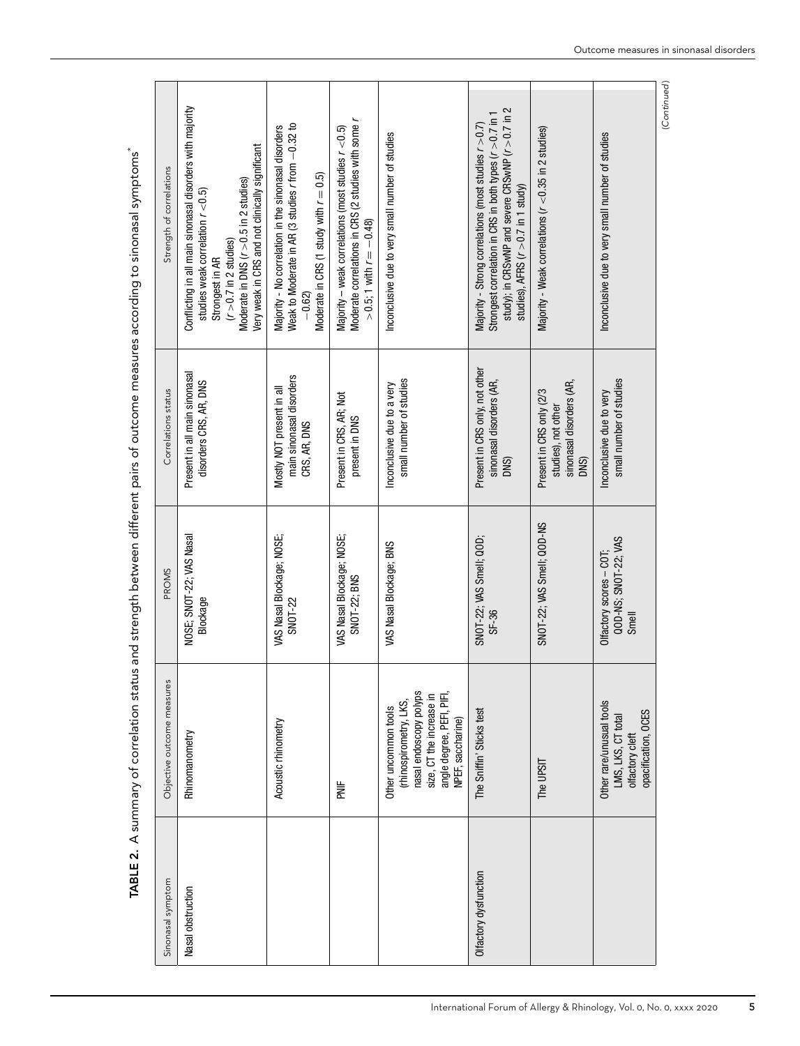| Strength of correlations   | Conflicting in all main sinonasal disorders with majority<br>Very weak in CRS and not clinically significant<br>Moderate in DNS $(r > 0.5$ in 2 studies)<br>studies weak correlation $r < 0.5$ )<br>$(r > 0.7$ in 2 studies)<br>Strongest in AR | Weak to Moderate in AR (3 studies r from -0.32 to<br>Majority - No correlation in the sinonasal disorders<br>Moderate in CRS (1 study with $r = 0.5$ )<br>$-0.62$ | Moderate correlations in CRS (2 studies with some r<br>Majority – weak correlations (most studies $r < 0.5$ )<br>$>0.5$ ; 1 with $r = -0.48$ ) | Inconclusive due to very small number of studies                                                                                                       | study); in CRS wNP and severe CRS wNP $(r > 0.7$ in 2<br>Strongest correlation in CRS in both types ( $r > 0.7$ in 1<br>Majority - Strong correlations (most studies $r > 0.7$ )<br>studies), AFRS $(r > 0.7$ in 1 study) | Majority - Weak correlations (r < 0.35 in 2 studies)                                | Inconclusive due to very small number of studies                                         |
|----------------------------|-------------------------------------------------------------------------------------------------------------------------------------------------------------------------------------------------------------------------------------------------|-------------------------------------------------------------------------------------------------------------------------------------------------------------------|------------------------------------------------------------------------------------------------------------------------------------------------|--------------------------------------------------------------------------------------------------------------------------------------------------------|---------------------------------------------------------------------------------------------------------------------------------------------------------------------------------------------------------------------------|-------------------------------------------------------------------------------------|------------------------------------------------------------------------------------------|
| Correlations status        | Present in all main sinonasal<br>disorders CRS, AR, DNS                                                                                                                                                                                         | main sinonasal disorders<br>Mostly NOT present in all<br>CRS, AR, DNS                                                                                             | Present in CRS, AR; Not<br>present in DNS                                                                                                      | small number of studies<br>Inconclusive due to a very                                                                                                  | Present in CRS only, not other<br>sinonasal disorders (AR,<br>DNS)                                                                                                                                                        | sinonasal disorders (AR,<br>Present in CRS only (2/3<br>studies), not other<br>DNS) | small number of studies<br>Inconclusive due to very                                      |
| PROMS                      | NOSE; SNOT-22; VAS Nasal<br>Blockage                                                                                                                                                                                                            | VAS Nasal Blockage; NOSE;<br>SNOT-22                                                                                                                              | VAS Nasal Blockage; NOSE;<br>SNOT-22; BNS                                                                                                      | VAS Nasal Blockage; BNS                                                                                                                                | SNOT-22; VAS Smell; QOD;<br>SF-36                                                                                                                                                                                         | SNOT-22; VAS Smell; QOD-NS                                                          | QOD-NS; SNOT-22; VAS<br>$O$ lfactory scores $-$ COT;<br>Smell                            |
| Objective outcome measures | Rhinomanometry                                                                                                                                                                                                                                  | Acoustic rhinometry                                                                                                                                               | lik<br>K                                                                                                                                       | nasal endoscopy polyps<br>angle degree, PEFI, PIFI,<br>size, CT the increase in<br>(rhinospirometry, LKS,<br>Other uncommon tools<br>NPEF, saccharine) | The Sniffin' Sticks test                                                                                                                                                                                                  | The UPSIT                                                                           | Other rare/unusual tools<br>opacification, OCES<br>LMS, LKS, CT total<br>olfactory cleft |
| Sinonasal symptom          | Nasal obstruction                                                                                                                                                                                                                               |                                                                                                                                                                   |                                                                                                                                                |                                                                                                                                                        | Olfactory dysfunction                                                                                                                                                                                                     |                                                                                     |                                                                                          |

TABLE 2. A summary of correlation status and strength between different pairs of outcome measures according to sinonasal symptoms<sup>\*</sup> **TABLE 2.** A summary of correlation status and strength between different pairs of outcome measures according to sinonasal symptoms\* (*Continued* )

(Continued)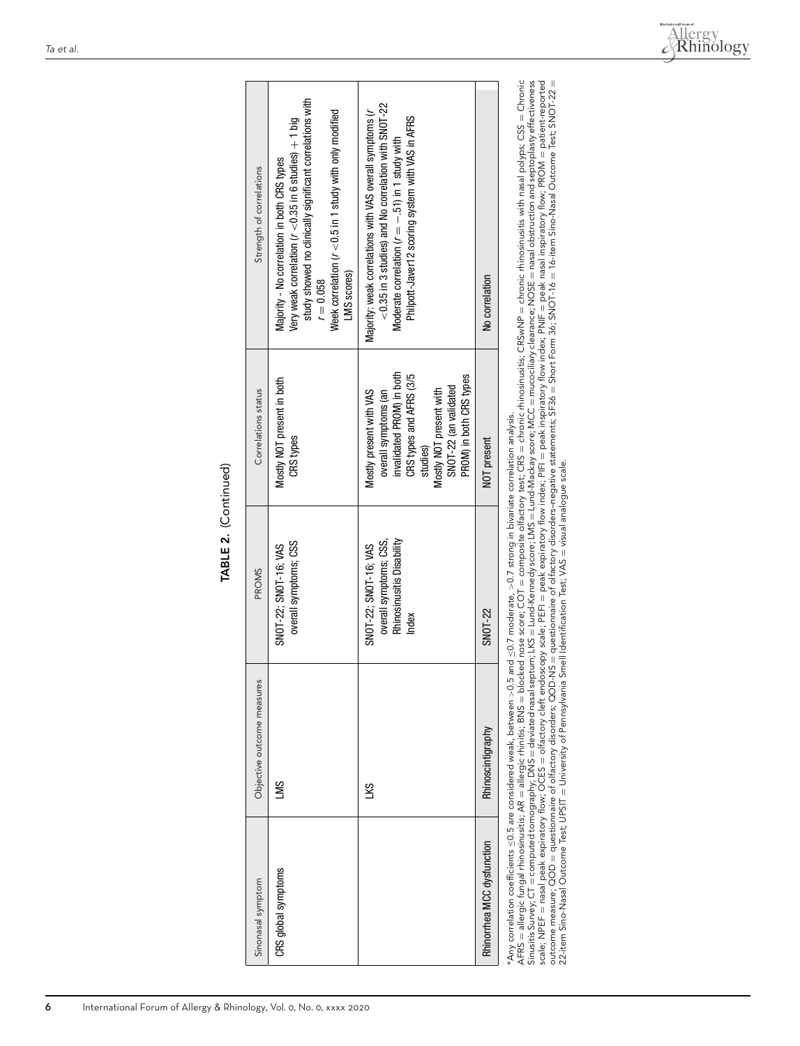| ı. |
|----|
| c  |
|    |
|    |

| Sinonasal symptom          | Objective outcome measures                                               | <b>PROMS</b>                                                                          | Correlations status                                                                                                                                                                                | Strength of correlations                                                                                                                                                                                                                                                                                                                                                                                                |
|----------------------------|--------------------------------------------------------------------------|---------------------------------------------------------------------------------------|----------------------------------------------------------------------------------------------------------------------------------------------------------------------------------------------------|-------------------------------------------------------------------------------------------------------------------------------------------------------------------------------------------------------------------------------------------------------------------------------------------------------------------------------------------------------------------------------------------------------------------------|
| CRS global symptoms        | SMT                                                                      | overall symptoms; CSS<br>SNOT-22; SNOT-16; VAS                                        | Mostly NOT present in both<br>CRS types                                                                                                                                                            | study showed no clinically significant correlations with<br>Week correlation ( $r < 0.5$ in 1 study with only modified<br>Very weak correlation ( $r <$ 0.35 in 6 studies) $+$ 1 big<br>Majority - No correlation in both CRS types<br>LMS scores)<br>$r = 0.058$                                                                                                                                                       |
|                            | ς<br>Π                                                                   | Rhinosinusitis Disability<br>overall symptoms; CSS,<br>SNOT-22; SNOT-16; VAS<br>Index | invalidated PROM) in both<br>CRS types and AFRS (3/5<br>PROM) in both CRS types<br>SNOT-22 (an validated<br>Mostly NOT present with<br>overall symptoms (an<br>Mostly present with VAS<br>studies) | $<$ 0.35 in 3 studies) and No correlation with SNOT-22<br>Majority: weak correlations with VAS overall symptoms (r<br>Philpott-Javer12 scoring system with VAS in AFRS<br>Moderate correlation $(r = -.51)$ in 1 study with                                                                                                                                                                                             |
| Rhinorrhea MCC dysfunction | Rhinoscintigraphy                                                        | SNOT-22                                                                               | NOT present                                                                                                                                                                                        | No correlation                                                                                                                                                                                                                                                                                                                                                                                                          |
|                            | *Any correlation coefficients <0.5 are considered weak, between >0.5 and |                                                                                       |                                                                                                                                                                                                    | $\leq$ 0.7 moderate, $>$ 0.7 strong in bivariate correlation analysis.<br>$\therefore$ $\therefore$ $\therefore$ $\therefore$ $\therefore$ $\therefore$ $\therefore$ $\therefore$ $\therefore$ $\therefore$ $\therefore$ $\therefore$ $\therefore$ $\therefore$ $\therefore$ $\therefore$ $\therefore$ $\therefore$ $\therefore$ $\therefore$ $\therefore$ $\therefore$ $\therefore$ $\therefore$ $\therefore$ $\there$ |

AFRS = allergic fungal rhinosinusitis; AR allergic rhinitis; BNS blocked nose score; COT composite olfactory test; CRS chronic rhinosinusitis; CRSwNP chronic rhinosinusitis with nasal polyps; CSS Chronic Sinusitis Survey; CT computed tomography; DNS deviated nasal septum; LKS Lund-Kennedy score; LMS Lund-Mackay score; MCC mucociliary clearance; NOSE nasal obstruction and septoplasty effectiveness scale; NPEF nasal peak expiratory flow; OCES olfactory cleft endoscopy scale; PEFI peak expiratory flow index; PIFI peak inspiratory flow index; PNIF peak nasal inspiratory flow; PROM patient-reported outcome measure; QOD questionnaire of olfactory disorders; QOD-NS questionnaire of olfactory disorders–negative statements; SF36  $=$  Short Form 36; SNOT-16 16-item Sino-Nasal Outcome Test; SNOT-22  $^{\rm II}$ 22-item Sino-Nasal Outcome Test; UPSIT University of Pennsylvania Smell Identification Test; VAS visual analogue scale.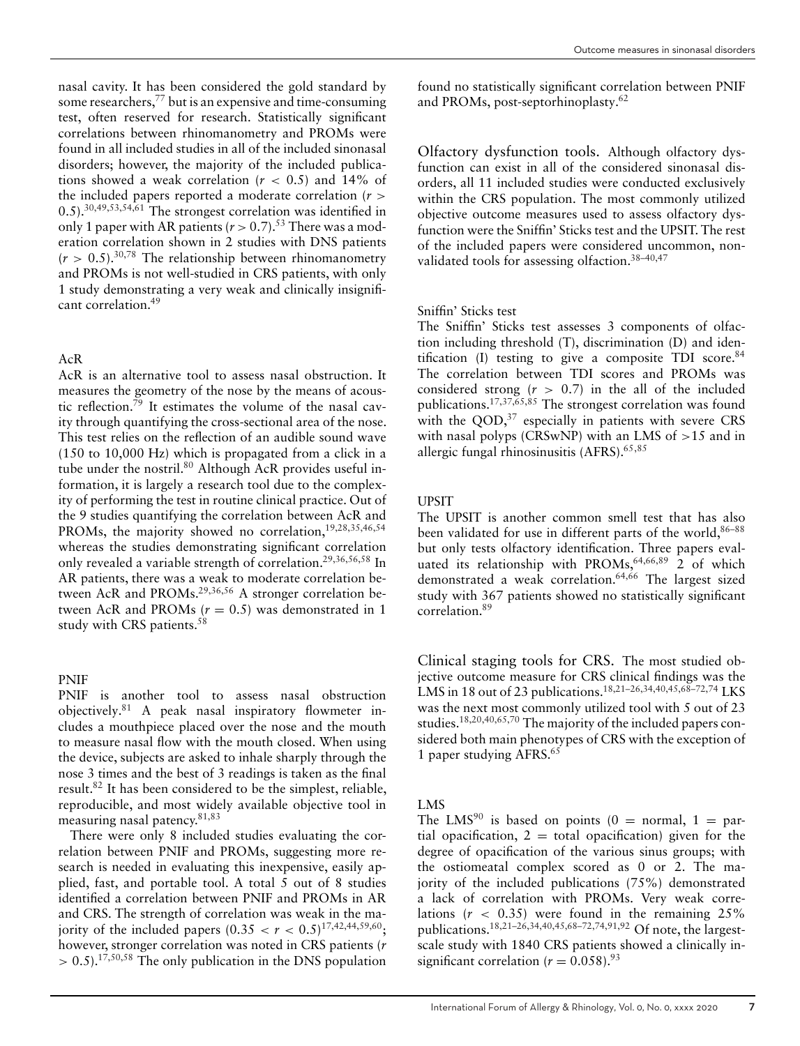nasal cavity. It has been considered the gold standard by some researchers,<sup>77</sup> but is an expensive and time-consuming test, often reserved for research. Statistically significant correlations between rhinomanometry and PROMs were found in all included studies in all of the included sinonasal disorders; however, the majority of the included publications showed a weak correlation ( $r < 0.5$ ) and 14% of the included papers reported a moderate correlation (*r >* 0.5).30,49,53,54,61 The strongest correlation was identified in only 1 paper with AR patients  $(r > 0.7)$ .<sup>53</sup> There was a moderation correlation shown in 2 studies with DNS patients  $(r > 0.5)$ .<sup>30,78</sup> The relationship between rhinomanometry and PROMs is not well-studied in CRS patients, with only 1 study demonstrating a very weak and clinically insignificant correlation.49

## AcR

AcR is an alternative tool to assess nasal obstruction. It measures the geometry of the nose by the means of acoustic reflection.<sup>79</sup> It estimates the volume of the nasal cavity through quantifying the cross-sectional area of the nose. This test relies on the reflection of an audible sound wave (150 to 10,000 Hz) which is propagated from a click in a tube under the nostril.<sup>80</sup> Although AcR provides useful information, it is largely a research tool due to the complexity of performing the test in routine clinical practice. Out of the 9 studies quantifying the correlation between AcR and PROMs, the majority showed no correlation,<sup>19,28,35,46,54</sup> whereas the studies demonstrating significant correlation only revealed a variable strength of correlation.<sup>29,36,56,58</sup> In AR patients, there was a weak to moderate correlation between AcR and PROMs.<sup>29,36,56</sup> A stronger correlation between AcR and PROMs  $(r = 0.5)$  was demonstrated in 1 study with CRS patients.<sup>58</sup>

## PNIF

PNIF is another tool to assess nasal obstruction objectively.81 A peak nasal inspiratory flowmeter includes a mouthpiece placed over the nose and the mouth to measure nasal flow with the mouth closed. When using the device, subjects are asked to inhale sharply through the nose 3 times and the best of 3 readings is taken as the final result.82 It has been considered to be the simplest, reliable, reproducible, and most widely available objective tool in measuring nasal patency. $81,83$ 

There were only 8 included studies evaluating the correlation between PNIF and PROMs, suggesting more research is needed in evaluating this inexpensive, easily applied, fast, and portable tool. A total 5 out of 8 studies identified a correlation between PNIF and PROMs in AR and CRS. The strength of correlation was weak in the majority of the included papers  $(0.35 < r < 0.5)^{17,42,44,59,60}$ ; however, stronger correlation was noted in CRS patients (*r >* 0.5).17,50,58 The only publication in the DNS population

found no statistically significant correlation between PNIF and PROMs, post-septorhinoplasty.62

Olfactory dysfunction tools. Although olfactory dysfunction can exist in all of the considered sinonasal disorders, all 11 included studies were conducted exclusively within the CRS population. The most commonly utilized objective outcome measures used to assess olfactory dysfunction were the Sniffin' Sticks test and the UPSIT. The rest of the included papers were considered uncommon, nonvalidated tools for assessing olfaction.38–40,47

### Sniffin' Sticks test

The Sniffin' Sticks test assesses 3 components of olfaction including threshold (T), discrimination (D) and identification (I) testing to give a composite TDI score. $84$ The correlation between TDI scores and PROMs was considered strong  $(r > 0.7)$  in the all of the included publications.17,37,65,85 The strongest correlation was found with the  $QOD$ ,<sup>37</sup> especially in patients with severe CRS with nasal polyps (CRSwNP) with an LMS of *>*15 and in allergic fungal rhinosinusitis (AFRS).65,85

#### UPSIT

The UPSIT is another common smell test that has also been validated for use in different parts of the world,<sup>86–88</sup> but only tests olfactory identification. Three papers evaluated its relationship with PROMs,  $64,66,89$  2 of which demonstrated a weak correlation.64,66 The largest sized study with 367 patients showed no statistically significant correlation.89

Clinical staging tools for CRS. The most studied objective outcome measure for CRS clinical findings was the LMS in 18 out of 23 publications.<sup>18,21–26,34,40,45,68–72,74</sup> LKS was the next most commonly utilized tool with 5 out of 23 studies.18,20,40,65,70 The majority of the included papers considered both main phenotypes of CRS with the exception of 1 paper studying AFRS. $65$ 

#### LMS

The LMS<sup>90</sup> is based on points (0 = normal, 1 = partial opacification,  $2 =$  total opacification) given for the degree of opacification of the various sinus groups; with the ostiomeatal complex scored as 0 or 2. The majority of the included publications (75%) demonstrated a lack of correlation with PROMs. Very weak correlations (*r <* 0.35) were found in the remaining 25% publications.18,21–26,34,40,45,68–72,74,91,92 Of note, the largestscale study with 1840 CRS patients showed a clinically insignificant correlation ( $r = 0.058$ ).<sup>93</sup>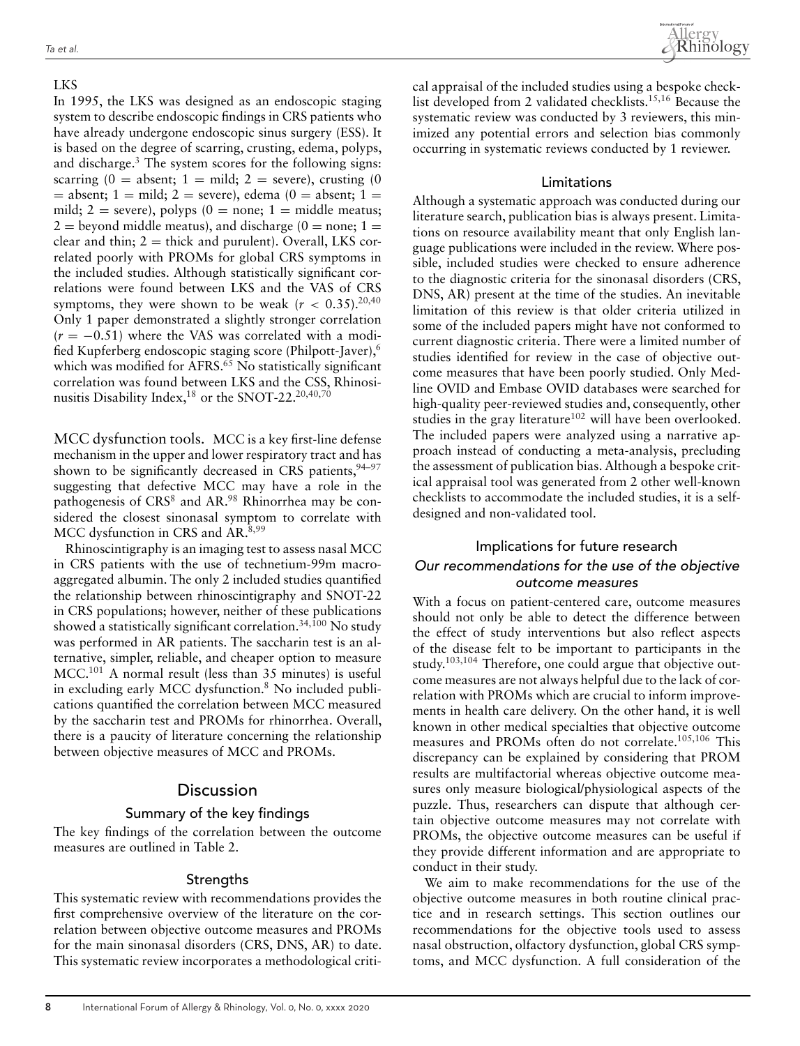#### LKS

In 1995, the LKS was designed as an endoscopic staging system to describe endoscopic findings in CRS patients who have already undergone endoscopic sinus surgery (ESS). It is based on the degree of scarring, crusting, edema, polyps, and discharge. $3$  The system scores for the following signs: scarring  $(0 = \text{absent}; 1 = \text{mild}; 2 = \text{severe})$ , crusting  $(0$  $=$  absent; 1 = mild; 2 = severe), edema (0 = absent; 1 = mild;  $2 =$  severe), polyps  $(0 =$  none;  $1 =$  middle meatus;  $2 =$  beyond middle meatus), and discharge (0 = none; 1 = clear and thin;  $2 =$  thick and purulent). Overall, LKS correlated poorly with PROMs for global CRS symptoms in the included studies. Although statistically significant correlations were found between LKS and the VAS of CRS symptoms, they were shown to be weak  $(r < 0.35).^{20,40}$ Only 1 paper demonstrated a slightly stronger correlation  $(r = -0.51)$  where the VAS was correlated with a modified Kupferberg endoscopic staging score (Philpott-Javer),6 which was modified for AFRS.<sup>65</sup> No statistically significant correlation was found between LKS and the CSS, Rhinosinusitis Disability Index, $^{18}$  or the SNOT-22.<sup>20,40,70</sup>

MCC dysfunction tools. MCC is a key first-line defense mechanism in the upper and lower respiratory tract and has shown to be significantly decreased in CRS patients,  $94-97$ suggesting that defective MCC may have a role in the pathogenesis of CRS<sup>8</sup> and AR.<sup>98</sup> Rhinorrhea may be considered the closest sinonasal symptom to correlate with MCC dysfunction in CRS and AR.8,99

Rhinoscintigraphy is an imaging test to assess nasal MCC in CRS patients with the use of technetium-99m macroaggregated albumin. The only 2 included studies quantified the relationship between rhinoscintigraphy and SNOT-22 in CRS populations; however, neither of these publications showed a statistically significant correlation.<sup>34,100</sup> No study was performed in AR patients. The saccharin test is an alternative, simpler, reliable, and cheaper option to measure MCC.101 A normal result (less than 35 minutes) is useful in excluding early MCC dysfunction.8 No included publications quantified the correlation between MCC measured by the saccharin test and PROMs for rhinorrhea. Overall, there is a paucity of literature concerning the relationship between objective measures of MCC and PROMs.

## Discussion

## Summary of the key findings

The key findings of the correlation between the outcome measures are outlined in Table 2.

#### **Strengths**

This systematic review with recommendations provides the first comprehensive overview of the literature on the correlation between objective outcome measures and PROMs for the main sinonasal disorders (CRS, DNS, AR) to date. This systematic review incorporates a methodological critical appraisal of the included studies using a bespoke checklist developed from 2 validated checklists.15,16 Because the systematic review was conducted by 3 reviewers, this minimized any potential errors and selection bias commonly occurring in systematic reviews conducted by 1 reviewer.

### Limitations

Although a systematic approach was conducted during our literature search, publication bias is always present. Limitations on resource availability meant that only English language publications were included in the review. Where possible, included studies were checked to ensure adherence to the diagnostic criteria for the sinonasal disorders (CRS, DNS, AR) present at the time of the studies. An inevitable limitation of this review is that older criteria utilized in some of the included papers might have not conformed to current diagnostic criteria. There were a limited number of studies identified for review in the case of objective outcome measures that have been poorly studied. Only Medline OVID and Embase OVID databases were searched for high-quality peer-reviewed studies and, consequently, other studies in the gray literature $102$  will have been overlooked. The included papers were analyzed using a narrative approach instead of conducting a meta-analysis, precluding the assessment of publication bias. Although a bespoke critical appraisal tool was generated from 2 other well-known checklists to accommodate the included studies, it is a selfdesigned and non-validated tool.

# Implications for future research Our recommendations for the use of the objective outcome measures

With a focus on patient-centered care, outcome measures should not only be able to detect the difference between the effect of study interventions but also reflect aspects of the disease felt to be important to participants in the study.<sup>103,104</sup> Therefore, one could argue that objective outcome measures are not always helpful due to the lack of correlation with PROMs which are crucial to inform improvements in health care delivery. On the other hand, it is well known in other medical specialties that objective outcome measures and PROMs often do not correlate.105,106 This discrepancy can be explained by considering that PROM results are multifactorial whereas objective outcome measures only measure biological/physiological aspects of the puzzle. Thus, researchers can dispute that although certain objective outcome measures may not correlate with PROMs, the objective outcome measures can be useful if they provide different information and are appropriate to conduct in their study.

We aim to make recommendations for the use of the objective outcome measures in both routine clinical practice and in research settings. This section outlines our recommendations for the objective tools used to assess nasal obstruction, olfactory dysfunction, global CRS symptoms, and MCC dysfunction. A full consideration of the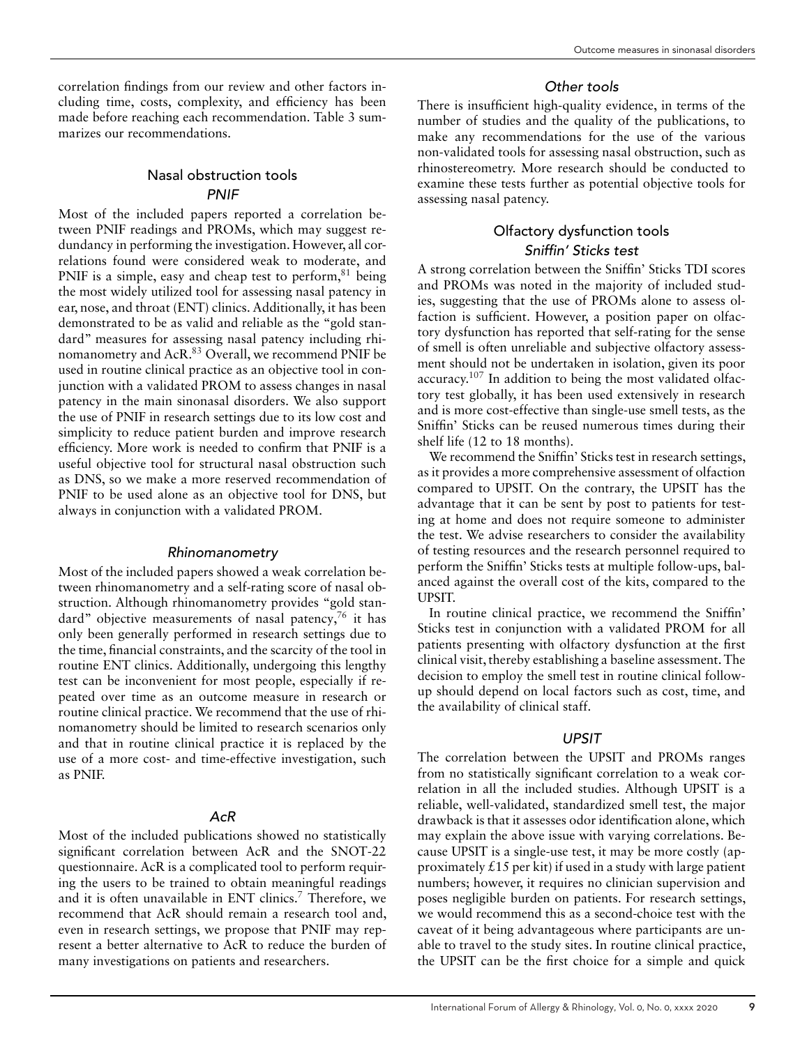correlation findings from our review and other factors including time, costs, complexity, and efficiency has been made before reaching each recommendation. Table 3 summarizes our recommendations.

## Nasal obstruction tools PNIF

Most of the included papers reported a correlation between PNIF readings and PROMs, which may suggest redundancy in performing the investigation. However, all correlations found were considered weak to moderate, and PNIF is a simple, easy and cheap test to perform,<sup>81</sup> being the most widely utilized tool for assessing nasal patency in ear, nose, and throat (ENT) clinics. Additionally, it has been demonstrated to be as valid and reliable as the "gold standard" measures for assessing nasal patency including rhinomanometry and AcR.<sup>83</sup> Overall, we recommend PNIF be used in routine clinical practice as an objective tool in conjunction with a validated PROM to assess changes in nasal patency in the main sinonasal disorders. We also support the use of PNIF in research settings due to its low cost and simplicity to reduce patient burden and improve research efficiency. More work is needed to confirm that PNIF is a useful objective tool for structural nasal obstruction such as DNS, so we make a more reserved recommendation of PNIF to be used alone as an objective tool for DNS, but always in conjunction with a validated PROM.

## Rhinomanometry

Most of the included papers showed a weak correlation between rhinomanometry and a self-rating score of nasal obstruction. Although rhinomanometry provides "gold standard" objective measurements of nasal patency,<sup>76</sup> it has only been generally performed in research settings due to the time, financial constraints, and the scarcity of the tool in routine ENT clinics. Additionally, undergoing this lengthy test can be inconvenient for most people, especially if repeated over time as an outcome measure in research or routine clinical practice. We recommend that the use of rhinomanometry should be limited to research scenarios only and that in routine clinical practice it is replaced by the use of a more cost- and time-effective investigation, such as PNIF.

## AcR

Most of the included publications showed no statistically significant correlation between AcR and the SNOT-22 questionnaire. AcR is a complicated tool to perform requiring the users to be trained to obtain meaningful readings and it is often unavailable in ENT clinics.<sup>7</sup> Therefore, we recommend that AcR should remain a research tool and, even in research settings, we propose that PNIF may represent a better alternative to AcR to reduce the burden of many investigations on patients and researchers.

## Other tools

There is insufficient high-quality evidence, in terms of the number of studies and the quality of the publications, to make any recommendations for the use of the various non-validated tools for assessing nasal obstruction, such as rhinostereometry. More research should be conducted to examine these tests further as potential objective tools for assessing nasal patency.

## Olfactory dysfunction tools Sniffin' Sticks test

A strong correlation between the Sniffin' Sticks TDI scores and PROMs was noted in the majority of included studies, suggesting that the use of PROMs alone to assess olfaction is sufficient. However, a position paper on olfactory dysfunction has reported that self-rating for the sense of smell is often unreliable and subjective olfactory assessment should not be undertaken in isolation, given its poor accuracy.107 In addition to being the most validated olfactory test globally, it has been used extensively in research and is more cost-effective than single-use smell tests, as the Sniffin' Sticks can be reused numerous times during their shelf life (12 to 18 months).

We recommend the Sniffin' Sticks test in research settings, as it provides a more comprehensive assessment of olfaction compared to UPSIT. On the contrary, the UPSIT has the advantage that it can be sent by post to patients for testing at home and does not require someone to administer the test. We advise researchers to consider the availability of testing resources and the research personnel required to perform the Sniffin' Sticks tests at multiple follow-ups, balanced against the overall cost of the kits, compared to the UPSIT.

In routine clinical practice, we recommend the Sniffin' Sticks test in conjunction with a validated PROM for all patients presenting with olfactory dysfunction at the first clinical visit, thereby establishing a baseline assessment. The decision to employ the smell test in routine clinical followup should depend on local factors such as cost, time, and the availability of clinical staff.

### UPSIT

The correlation between the UPSIT and PROMs ranges from no statistically significant correlation to a weak correlation in all the included studies. Although UPSIT is a reliable, well-validated, standardized smell test, the major drawback is that it assesses odor identification alone, which may explain the above issue with varying correlations. Because UPSIT is a single-use test, it may be more costly (approximately  $\angle 15$  per kit) if used in a study with large patient numbers; however, it requires no clinician supervision and poses negligible burden on patients. For research settings, we would recommend this as a second-choice test with the caveat of it being advantageous where participants are unable to travel to the study sites. In routine clinical practice, the UPSIT can be the first choice for a simple and quick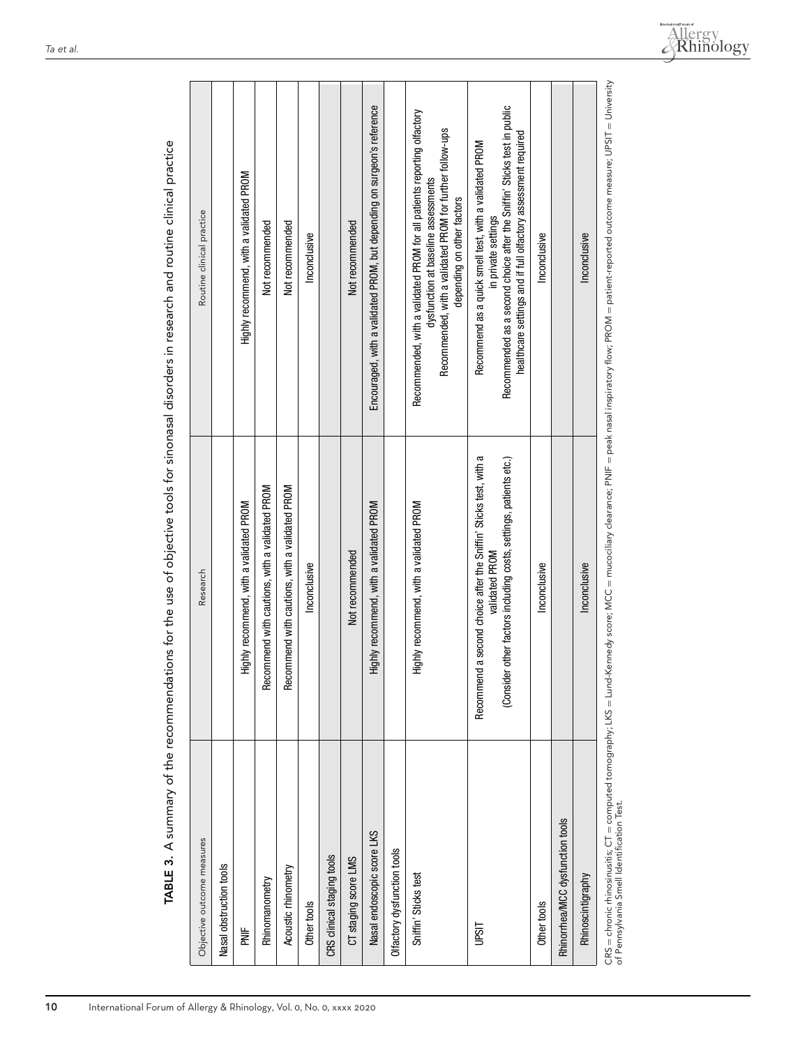| Objective outcome measures               | Research                                                                                                                                                      | Routine clinical practice                                                                                                                                                                                                 |
|------------------------------------------|---------------------------------------------------------------------------------------------------------------------------------------------------------------|---------------------------------------------------------------------------------------------------------------------------------------------------------------------------------------------------------------------------|
| Nasal obstruction tools                  |                                                                                                                                                               |                                                                                                                                                                                                                           |
| 岂<br>M                                   | Highly recommend, with a validated PROM                                                                                                                       | Highly recommend, with a validated PROM                                                                                                                                                                                   |
| Rhinomanometry                           | Recommend with cautions, with a validated PROM                                                                                                                | Not recommended                                                                                                                                                                                                           |
| Acoustic minometry                       | Recommend with cautions, with a validated PROM                                                                                                                | Not recommended                                                                                                                                                                                                           |
| Other tools                              | Inconclusive                                                                                                                                                  | Inconclusive                                                                                                                                                                                                              |
| CRS clinical staging tools               |                                                                                                                                                               |                                                                                                                                                                                                                           |
| CT staging score LMS                     | Not recommended                                                                                                                                               | Not recommended                                                                                                                                                                                                           |
| Nasal endoscopic score LKS               | Highly recommend, with a validated PROM                                                                                                                       | Encouraged, with a validated PROM, but depending on surgeon's reference                                                                                                                                                   |
| Olfactory dysfunction tools              |                                                                                                                                                               |                                                                                                                                                                                                                           |
| Sniffin' Sticks test                     | Highly recommend, with a validated PROM                                                                                                                       | Recommended, with a validated PROM for all patients reporting olfactory<br>Recommended, with a validated PROM for further follow-ups<br>dysfunction at baseline assessments<br>depending on other factors                 |
| listi                                    | a second choice after the Sniffin' Sticks test, with a<br>other factors including costs, settings, patients etc.)<br>validated PROM<br>Recommend<br>(Consider | Recommended as a second choice after the Sniffin' Sticks test in public<br>healthcare settings and if full olfactory assessment required<br>Recommend as a quick smell test, with a validated PROM<br>in private settings |
| Other tools                              | Inconclusive                                                                                                                                                  | Inconclusive                                                                                                                                                                                                              |
| Rhinorrhea/MCC dysfunction tools         |                                                                                                                                                               |                                                                                                                                                                                                                           |
| Rhinoscintigraphy                        | Inconclusive                                                                                                                                                  | Inconclusive                                                                                                                                                                                                              |
| nf Poppelscain Small Identification Tort |                                                                                                                                                               | CRS = chronic rhinosinusitis; CT = computed tomography; LKS = Lund-Kennedy score; MCC = mucociliary clearance; PNIF = peak nasal inspiratory flow; PROM = patient-reported outcome measure; UPSIT = University            |

TABLE 3. A summary of the recommendations for the use of objective tools for sinonasal disorders in research and routine clinical practice **TABLE 3.** A summary of the recommendations for the use of objective tools for sinonasal disorders in research and routine clinical practice of Pennsylvania Smell Identification Test. ot Pennsylva

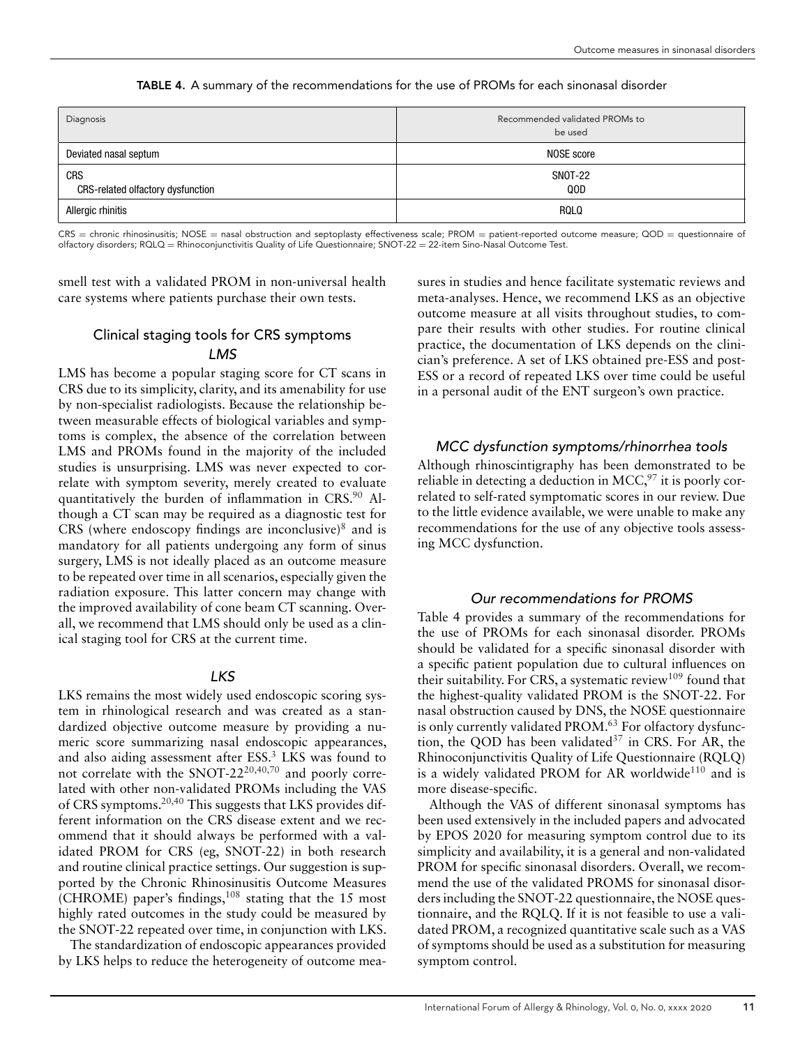| Diagnosis                                       | Recommended validated PROMs to<br>be used |
|-------------------------------------------------|-------------------------------------------|
| Deviated nasal septum                           | NOSE score                                |
| <b>CRS</b><br>CRS-related olfactory dysfunction | <b>SNOT-22</b><br>QOD                     |
| Allergic rhinitis                               | RQLQ                                      |

**TABLE 4.** A summary of the recommendations for the use of PROMs for each sinonasal disorder

 $CRS =$  chronic rhinosinusitis; NOSE = nasal obstruction and septoplasty effectiveness scale; PROM = patient-reported outcome measure; QOD = questionnaire of olfactory disorders; RQLQ = Rhinoconjunctivitis Quality of Life Questionnaire; SNOT-22 = 22-item Sino-Nasal Outcome Test.

smell test with a validated PROM in non-universal health care systems where patients purchase their own tests.

## Clinical staging tools for CRS symptoms LMS

LMS has become a popular staging score for CT scans in CRS due to its simplicity, clarity, and its amenability for use by non-specialist radiologists. Because the relationship between measurable effects of biological variables and symptoms is complex, the absence of the correlation between LMS and PROMs found in the majority of the included studies is unsurprising. LMS was never expected to correlate with symptom severity, merely created to evaluate quantitatively the burden of inflammation in CRS.<sup>90</sup> Although a CT scan may be required as a diagnostic test for CRS (where endoscopy findings are inconclusive) $\delta$  and is mandatory for all patients undergoing any form of sinus surgery, LMS is not ideally placed as an outcome measure to be repeated over time in all scenarios, especially given the radiation exposure. This latter concern may change with the improved availability of cone beam CT scanning. Overall, we recommend that LMS should only be used as a clinical staging tool for CRS at the current time.

## LKS

LKS remains the most widely used endoscopic scoring system in rhinological research and was created as a standardized objective outcome measure by providing a numeric score summarizing nasal endoscopic appearances, and also aiding assessment after ESS.<sup>3</sup> LKS was found to not correlate with the SNOT-22<sup>20,40,70</sup> and poorly correlated with other non-validated PROMs including the VAS of CRS symptoms.<sup>20,40</sup> This suggests that LKS provides different information on the CRS disease extent and we recommend that it should always be performed with a validated PROM for CRS (eg, SNOT-22) in both research and routine clinical practice settings. Our suggestion is supported by the Chronic Rhinosinusitis Outcome Measures (CHROME) paper's findings, $108$  stating that the 15 most highly rated outcomes in the study could be measured by the SNOT-22 repeated over time, in conjunction with LKS.

The standardization of endoscopic appearances provided by LKS helps to reduce the heterogeneity of outcome mea-

sures in studies and hence facilitate systematic reviews and meta-analyses. Hence, we recommend LKS as an objective outcome measure at all visits throughout studies, to compare their results with other studies. For routine clinical practice, the documentation of LKS depends on the clinician's preference. A set of LKS obtained pre-ESS and post-ESS or a record of repeated LKS over time could be useful in a personal audit of the ENT surgeon's own practice.

## MCC dysfunction symptoms/rhinorrhea tools

Although rhinoscintigraphy has been demonstrated to be reliable in detecting a deduction in MCC,<sup>97</sup> it is poorly correlated to self-rated symptomatic scores in our review. Due to the little evidence available, we were unable to make any recommendations for the use of any objective tools assessing MCC dysfunction.

## Our recommendations for PROMS

Table 4 provides a summary of the recommendations for the use of PROMs for each sinonasal disorder. PROMs should be validated for a specific sinonasal disorder with a specific patient population due to cultural influences on their suitability. For CRS, a systematic review<sup>109</sup> found that the highest-quality validated PROM is the SNOT-22. For nasal obstruction caused by DNS, the NOSE questionnaire is only currently validated PROM.<sup>63</sup> For olfactory dysfunction, the OOD has been validated $37$  in CRS. For AR, the Rhinoconjunctivitis Quality of Life Questionnaire (RQLQ) is a widely validated PROM for AR worldwide<sup>110</sup> and is more disease-specific.

Although the VAS of different sinonasal symptoms has been used extensively in the included papers and advocated by EPOS 2020 for measuring symptom control due to its simplicity and availability, it is a general and non-validated PROM for specific sinonasal disorders. Overall, we recommend the use of the validated PROMS for sinonasal disorders including the SNOT-22 questionnaire, the NOSE questionnaire, and the RQLQ. If it is not feasible to use a validated PROM, a recognized quantitative scale such as a VAS of symptoms should be used as a substitution for measuring symptom control.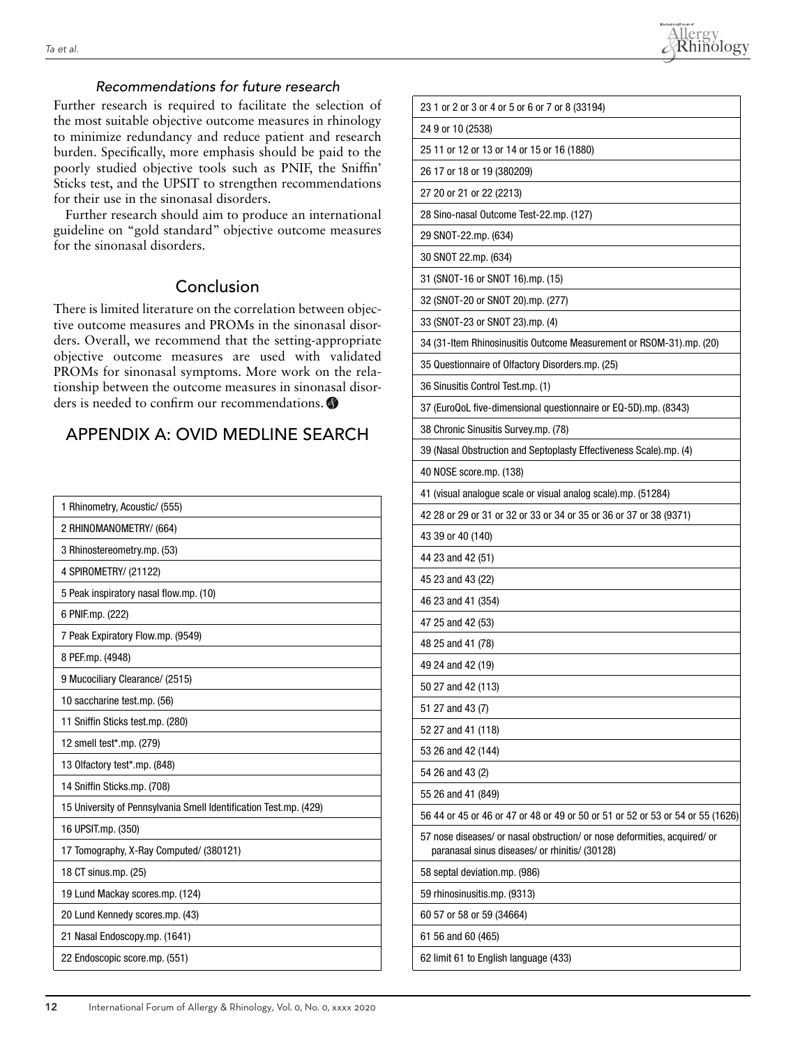

## Recommendations for future research

Further research is required to facilitate the selection of the most suitable objective outcome measures in rhinology to minimize redundancy and reduce patient and research burden. Specifically, more emphasis should be paid to the poorly studied objective tools such as PNIF, the Sniffin' Sticks test, and the UPSIT to strengthen recommendations for their use in the sinonasal disorders.

Further research should aim to produce an international guideline on "gold standard" objective outcome measures for the sinonasal disorders.

# Conclusion

There is limited literature on the correlation between objective outcome measures and PROMs in the sinonasal disorders. Overall, we recommend that the setting-appropriate objective outcome measures are used with validated PROMs for sinonasal symptoms. More work on the relationship between the outcome measures in sinonasal disorders is needed to confirm our recommendations.

# APPENDIX A: OVID MEDLINE SEARCH

| 1 Rhinometry, Acoustic/ (555)                                     |
|-------------------------------------------------------------------|
| 2 RHINOMANOMETRY/ (664)                                           |
| 3 Rhinostereometry.mp. (53)                                       |
| 4 SPIROMETRY/ (21122)                                             |
| 5 Peak inspiratory nasal flow.mp. (10)                            |
| 6 PNIF.mp. (222)                                                  |
| 7 Peak Expiratory Flow.mp. (9549)                                 |
| 8 PEF.mp. (4948)                                                  |
| 9 Mucociliary Clearance/ (2515)                                   |
| 10 saccharine test.mp. (56)                                       |
| 11 Sniffin Sticks test.mp. (280)                                  |
| 12 smell test*.mp. (279)                                          |
| 13 Olfactory test*.mp. (848)                                      |
| 14 Sniffin Sticks.mp. (708)                                       |
| 15 University of Pennsylvania Smell Identification Test.mp. (429) |
| 16 UPSIT.mp. (350)                                                |
| 17 Tomography, X-Ray Computed/ (380121)                           |
| 18 CT sinus.mp. (25)                                              |
| 19 Lund Mackay scores.mp. (124)                                   |
| 20 Lund Kennedy scores.mp. (43)                                   |
|                                                                   |
| 21 Nasal Endoscopy.mp. (1641)                                     |
| 22 Endoscopic score.mp. (551)                                     |

| 23 1 or 2 or 3 or 4 or 5 or 6 or 7 or 8 (33194)                                                                             |  |
|-----------------------------------------------------------------------------------------------------------------------------|--|
| 24 9 or 10 (2538)                                                                                                           |  |
| 25 11 or 12 or 13 or 14 or 15 or 16 (1880)                                                                                  |  |
| 26 17 or 18 or 19 (380209)                                                                                                  |  |
| 27 20 or 21 or 22 (2213)                                                                                                    |  |
| 28 Sino-nasal Outcome Test-22.mp. (127)                                                                                     |  |
| 29 SNOT-22.mp. (634)                                                                                                        |  |
| 30 SNOT 22.mp. (634)                                                                                                        |  |
| 31 (SNOT-16 or SNOT 16).mp. (15)                                                                                            |  |
| 32 (SNOT-20 or SNOT 20).mp. (277)                                                                                           |  |
| 33 (SNOT-23 or SNOT 23).mp. (4)                                                                                             |  |
| 34 (31-Item Rhinosinusitis Outcome Measurement or RSOM-31).mp. (20)                                                         |  |
| 35 Questionnaire of Olfactory Disorders.mp. (25)                                                                            |  |
| 36 Sinusitis Control Test.mp. (1)                                                                                           |  |
| 37 (EuroQoL five-dimensional questionnaire or EQ-5D).mp. (8343)                                                             |  |
| 38 Chronic Sinusitis Survey.mp. (78)                                                                                        |  |
| 39 (Nasal Obstruction and Septoplasty Effectiveness Scale).mp. (4)                                                          |  |
| 40 NOSE score.mp. (138)                                                                                                     |  |
| 41 (visual analogue scale or visual analog scale).mp. (51284)                                                               |  |
| 42 28 or 29 or 31 or 32 or 33 or 34 or 35 or 36 or 37 or 38 (9371)                                                          |  |
| 43 39 or 40 (140)                                                                                                           |  |
| 44 23 and 42 (51)                                                                                                           |  |
| 45 23 and 43 (22)                                                                                                           |  |
| 46 23 and 41 (354)                                                                                                          |  |
| 47 25 and 42 (53)                                                                                                           |  |
| 48 25 and 41 (78)                                                                                                           |  |
| 49 24 and 42 (19)                                                                                                           |  |
| 50 27 and 42 (113)                                                                                                          |  |
| 51 27 and 43 (7)                                                                                                            |  |
| 52 27 and 41 (118)                                                                                                          |  |
| 53 26 and 42 (144)                                                                                                          |  |
| 54 26 and 43 (2)                                                                                                            |  |
| 55 26 and 41 (849)                                                                                                          |  |
|                                                                                                                             |  |
| 56 44 or 45 or 46 or 47 or 48 or 49 or 50 or 51 or 52 or 53 or 54 or 55 (1626)                                              |  |
| 57 nose diseases/ or nasal obstruction/ or nose deformities, acquired/ or<br>paranasal sinus diseases/ or rhinitis/ (30128) |  |
| 58 septal deviation.mp. (986)                                                                                               |  |
| 59 rhinosinusitis.mp. (9313)                                                                                                |  |
| 60 57 or 58 or 59 (34664)                                                                                                   |  |
| 61 56 and 60 (465)                                                                                                          |  |
| 62 limit 61 to English language (433)                                                                                       |  |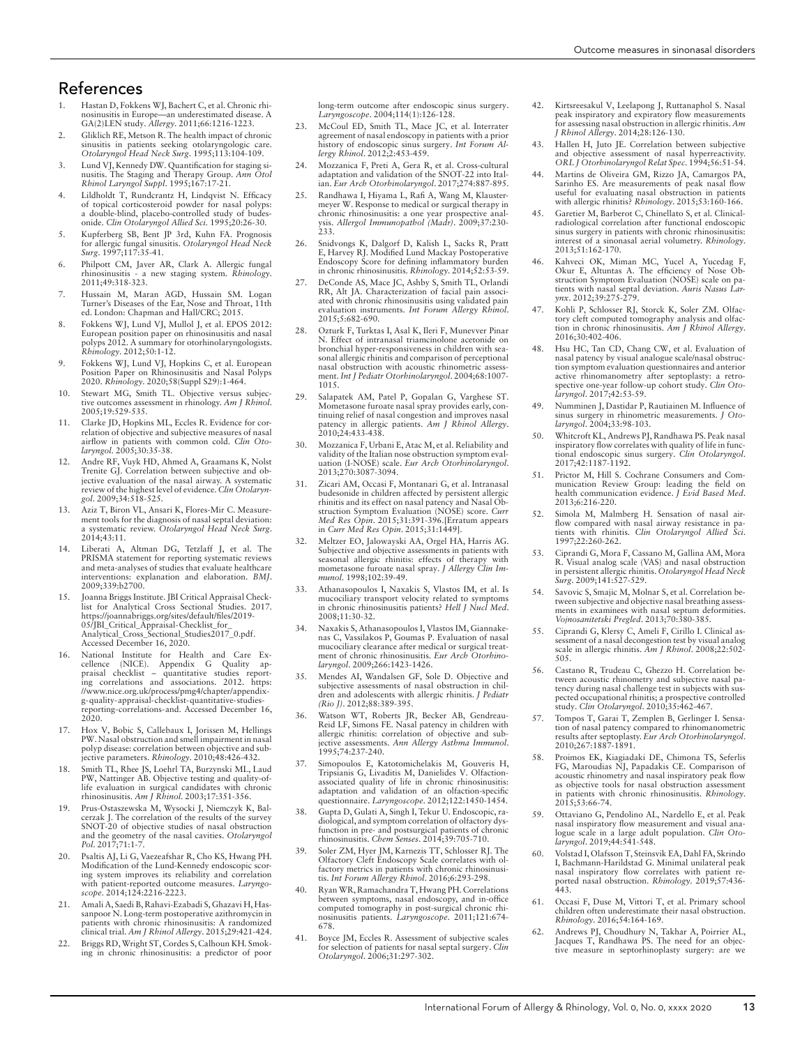## References

- 1. Hastan D, Fokkens WJ, Bachert C, et al. Chronic rhinosinusitis in Europe—an underestimated disease. A GA(2)LEN study. *Allergy*. 2011;66:1216-1223.
- 2. Gliklich RE, Metson R. The health impact of chronic sinusitis in patients seeking otolaryngologic care. *Otolaryngol Head Neck Surg*. 1995;113:104-109.
- 3. Lund VJ, Kennedy DW. Quantification for staging si-nusitis. The Staging and Therapy Group. *Ann Otol Rhinol Laryngol Suppl*. 1995;167:17-21.
- 4. Lildholdt T, Rundcrantz H, Lindqvist N. Efficacy of topical corticosteroid powder for nasal polyps: a double-blind, placebo-controlled study of budes-onide. *Clin Otolaryngol Allied Sci*. 1995;20:26-30.
- 5. Kupferberg SB, Bent JP 3rd, Kuhn FA. Prognosis for allergic fungal sinusitis. *Otolaryngol Head Neck Surg*. 1997;117:35-41.
- 6. Philpott CM, Javer AR, Clark A. Allergic fungal rhinosinusitis - a new staging system. *Rhinology*. 2011;49:318-323.
- 7. Hussain M, Maran AGD, Hussain SM. Logan Turner's Diseases of the Ear, Nose and Throat, 11th ed. London: Chapman and Hall/CRC; 2015.
- 8. Fokkens WJ, Lund VJ, Mullol J, et al. EPOS 2012: European position paper on rhinosinusitis and nasal polyps 2012. A summary for otorhinolaryngologists. *Rhinology*. 2012;50:1-12.
- 9. Fokkens WJ, Lund VJ, Hopkins C, et al. European Position Paper on Rhinosinusitis and Nasal Polyps 2020. *Rhinology*. 2020;58(Suppl S29):1-464.
- 10. Stewart MG, Smith TL. Objective versus subjective outcomes assessment in rhinology. *Am J Rhinol*. 2005;19:529-535.
- 11. Clarke JD, Hopkins ML, Eccles R. Evidence for correlation of objective and subjective measures of nasal airflow in patients with common cold. *Clin Oto-laryngol*. 2005;30:35-38.
- 12. Andre RF, Vuyk HD, Ahmed A, Graamans K, Nolst Trenite GJ. Correlation between subjective and objective evaluation of the nasal airway. A systematic review of the highest level of evidence. *Clin Otolaryn-gol*. 2009;34:518-525.
- 13. Aziz T, Biron VL, Ansari K, Flores-Mir C. Measure-ment tools for the diagnosis of nasal septal deviation: systematic review. Otolaryngol Head Neck Surg. 2014;43:11.
- 14. Liberati A, Altman DG, Tetzlaff J, et al. The PRISMA statement for reporting systematic reviews and meta-analyses of studies that evaluate healthcare interventions: explanation and elaboration. *BMJ*. 2009;339:b2700.
- 15. Joanna Briggs Institute. JBI Critical Appraisal Check-list for Analytical Cross Sectional Studies. 2017. [https://joannabriggs.org/sites/default/files/2019-](https://joannabriggs.org/sites/default/files/2019-05/JBI_Critical_Appraisal-Checklist_for_Analytical_Cross_Sectional_Studies2017_0.pdf) [05/JBI\\_Critical\\_Appraisal-Checklist\\_for\\_](https://joannabriggs.org/sites/default/files/2019-05/JBI_Critical_Appraisal-Checklist_for_Analytical_Cross_Sectional_Studies2017_0.pdf) [Analytical\\_Cross\\_Sectional\\_Studies2017\\_0.pdf.](https://joannabriggs.org/sites/default/files/2019-05/JBI_Critical_Appraisal-Checklist_for_Analytical_Cross_Sectional_Studies2017_0.pdf) Accessed December 16, 2020.
- 16. National Institute for Health and Care Excellence (NICE). Appendix G Quality ap-praisal checklist – quantitative studies reporting correlations and associations. 2012. [https:](https://www.nice.org.uk/process/pmg4/chapter/appendix-g-quality-appraisal-checklist-quantitative-studies-reporting-correlations-and) [//www.nice.org.uk/process/pmg4/chapter/appendix-](https://www.nice.org.uk/process/pmg4/chapter/appendix-g-quality-appraisal-checklist-quantitative-studies-reporting-correlations-and)[g-quality-appraisal-checklist-quantitative-studies](https://www.nice.org.uk/process/pmg4/chapter/appendix-g-quality-appraisal-checklist-quantitative-studies-reporting-correlations-and)[reporting-correlations-and.](https://www.nice.org.uk/process/pmg4/chapter/appendix-g-quality-appraisal-checklist-quantitative-studies-reporting-correlations-and) Accessed December 16, 2020.
- 17. Hox V, Bobic S, Callebaux I, Jorissen M, Hellings PW. Nasal obstruction and smell impairment in nasal polyp disease: correlation between objective and sub-jective parameters. *Rhinology*. 2010;48:426-432.
- 18. Smith TL, Rhee JS, Loehrl TA, Burzynski ML, Laud PW, Nattinger AB. Objective testing and quality-of-life evaluation in surgical candidates with chronic rhinosinusitis. *Am J Rhinol*. 2003;17:351-356.
- 19. Prus-Ostaszewska M, Wysocki J, Niemczyk K, Balcerzak J. The correlation of the results of the survey SNOT-20 of objective studies of nasal obstruction and the geometry of the nasal cavities. *Otolaryngol Pol*. 2017;71:1-7.
- 20. Psaltis AJ, Li G, Vaezeafshar R, Cho KS, Hwang PH. Modification of the Lund-Kennedy endoscopic scoring system improves its reliability and correlation with patient-reported outcome measures. *Laryngo-scope*. 2014;124:2216-2223.
- 21. Amali A, Saedi B, Rahavi-Ezabadi S, Ghazavi H, Hassanpoor N. Long-term postoperative azithromycin in patients with chronic rhinosinusitis: A randomized clinical trial. *Am J Rhinol Allergy*. 2015;29:421-424.
- 22. Briggs RD,Wright ST, Cordes S, Calhoun KH. Smoking in chronic rhinosinusitis: a predictor of poor

long-term outcome after endoscopic sinus surgery. *Laryngoscope*. 2004;114(1):126-128.

- 23. McCoul ED, Smith TL, Mace JC, et al. Interrater agreement of nasal endoscopy in patients with a prior history of endoscopic sinus surgery. *Int Forum Al-lergy Rhinol*. 2012;2:453-459.
- 24. Mozzanica F, Preti A, Gera R, et al. Cross-cultural adaptation and validation of the SNOT-22 into Italian. *Eur Arch Otorhinolaryngol*. 2017;274:887-895.
- 25. Randhawa I, Hiyama L, Rafi A, Wang M, Klaustermeyer W. Response to medical or surgical therapy in chronic rhinosinusitis: a one year prospective anal-ysis. *Allergol Immunopathol (Madr)*. 2009;37:230- 233.
- 26. Snidvongs K, Dalgorf D, Kalish L, Sacks R, Pratt E, Harvey RJ. Modified Lund Mackay Postoperative Endoscopy Score for defining inflammatory burden in chronic rhinosinusitis. *Rhinology*. 2014;52:53-59.
- 27. DeConde AS, Mace JC, Ashby S, Smith TL, Orlandi RR, Alt JA. Characterization of facial pain associ-ated with chronic rhinosinusitis using validated pain evaluation instruments. *Int Forum Allergy Rhinol*. 2015;5:682-690.
- Ozturk F, Turktas I, Asal K, Ileri F, Munevver Pinar N. Effect of intranasal triamcinolone acetonide on bronchial hyper-responsiveness in children with seasonal allergic rhinitis and comparison of perceptional nasal obstruction with acoustic rhinometric assessment.*Int J Pediatr Otorhinolaryngol*. 2004;68:1007- 1015.
- 29. Salapatek AM, Patel P, Gopalan G, Varghese ST. Mometasone furoate nasal spray provides early, con-tinuing relief of nasal congestion and improves nasal patency in allergic patients. *Am J Rhinol Allergy*. 2010;24:433-438.
- 30. Mozzanica F, Urbani E, Atac M, et al. Reliability and validity of the Italian nose obstruction symptom evaluation (I-NOSE) scale. *Eur Arch Otorhinolaryngol*. 2013;270:3087-3094.
- Zicari AM, Occasi F, Montanari G, et al. Intranasal budesonide in children affected by persistent allergic rhinitis and its effect on nasal patency and Nasal Obstruction Symptom Evaluation (NOSE) score. *Curr Med Res Opin*. 2015;31:391-396.[Erratum appears in *Curr Med Res Opin*. 2015;31:1449].
- 32. Meltzer EO, Jalowayski AA, Orgel HA, Harris AG. Subjective and objective assessments in patients with seasonal allergic rhinitis: effects of therapy with mometasone furoate nasal spray. *J Allergy Clin Immunol*. 1998;102:39-49.
- 33. Athanasopoulos I, Naxakis S, Vlastos IM, et al. Is mucociliary transport velocity related to symptoms in chronic rhinosinusitis patients? *Hell J Nucl Med*. 2008;11:30-32.
- 34. Naxakis S, Athanasopoulos I, Vlastos IM, Giannakenas C, Vassilakos P, Goumas P. Evaluation of nasal mucociliary clearance after medical or surgical treatment of chronic rhinosinusitis. *Eur Arch Otorhinolaryngol*. 2009;266:1423-1426.
- 35. Mendes AI, Wandalsen GF, Sole D. Objective and subjective assessments of nasal obstruction in children and adolescents with allergic rhinitis. *J Pediatr (Rio J)*. 2012;88:389-395.
- 36. Watson WT, Roberts JR, Becker AB, Gendreau-Reid LF, Simons FE. Nasal patency in children with allergic rhinitis: correlation of objective and subjective assessments. *Ann Allergy Asthma Immunol*. 1995;74:237-240.
- 37. Simopoulos E, Katotomichelakis M, Gouveris H, Tripsianis G, Livaditis M, Danielides V. Olfaction-associated quality of life in chronic rhinosinusitis: adaptation and validation of an olfaction-specific questionnaire. *Laryngoscope*. 2012;122:1450-1454.
- 38. Gupta D, Gulati A, Singh I, Tekur U. Endoscopic, radiological, and symptom correlation of olfactory dysfunction in pre- and postsurgical patients of chronic rhinosinusitis. *Chem Senses*. 2014;39:705-710.
- 39. Soler ZM, Hyer JM, Karnezis TT, Schlosser RJ. The Olfactory Cleft Endoscopy Scale correlates with olfactory metrics in patients with chronic rhinosinusi-tis. *Int Forum Allergy Rhinol*. 2016;6:293-298.
- 40. Ryan WR, Ramachandra T, Hwang PH. Correlations between symptoms, nasal endoscopy, and in-office computed tomography in post-surgical chronic rhinosinusitis patients. *Laryngoscope*. 2011;121:674- 678.
- 41. Boyce JM, Eccles R. Assessment of subjective scales for selection of patients for nasal septal surgery. *Clin Otolaryngol*. 2006;31:297-302.
- 42. Kirtsreesakul V, Leelapong J, Ruttanaphol S. Nasal peak inspiratory and expiratory flow measurements for assessing nasal obstruction in allergic rhinitis. *Am J Rhinol Allergy*. 2014;28:126-130.
- 43. Hallen H, Juto JE. Correlation between subjective and objective assessment of nasal hyperreactivity. *ORL J Otorhinolaryngol Relat Spec*. 1994;56:51-54.
- 44. Martins de Oliveira GM, Rizzo JA, Camargos PA, Sarinho ES. Are measurements of peak nasal flow useful for evaluating nasal obstruction in patients with allergic rhinitis? *Rhinology*. 2015;53:160-166.
- 45. Garetier M, Barberot C, Chinellato S, et al. Clinicalradiological correlation after functional endoscopic sinus surgery in patients with chronic rhinosinusitis: interest of a sinonasal aerial volumetry. *Rhinology*. 2013;51:162-170.
- Kahveci OK, Miman MC, Yucel A, Yucedag F, Okur E, Altuntas A. The efficiency of Nose Ob-struction Symptom Evaluation (NOSE) scale on pa-tients with nasal septal deviation. *Auris Nasus Lar-ynx*. 2012;39:275-279.
- Kohli P, Schlosser RJ, Storck K, Soler ZM. Olfactory cleft computed tomography analysis and olfac-tion in chronic rhinosinusitis. *Am J Rhinol Allergy*. 2016;30:402-406.
- 48. Hsu HC, Tan CD, Chang CW, et al. Evaluation of nasal patency by visual analogue scale/nasal obstruction symptom evaluation questionnaires and anterior active rhinomanometry after septoplasty: a retro-spective one-year follow-up cohort study. *Clin Otolaryngol*. 2017;42:53-59.
- 49. Numminen J, Dastidar P, Rautiainen M. Influence of sinus surgery in rhinometric measurements. *J Otolaryngol*. 2004;33:98-103.
- 50. Whitcroft KL, Andrews PJ, Randhawa PS. Peak nasal inspiratory flow correlates with quality of life in func-tional endoscopic sinus surgery. *Clin Otolaryngol*. 2017;42:1187-1192.
- 51. Prictor M, Hill S. Cochrane Consumers and Communication Review Group: leading the field on health communication evidence. *J Evid Based Med*. 2013;6:216-220.
- 52. Simola M, Malmberg H. Sensation of nasal air-flow compared with nasal airway resistance in patients with rhinitis. *Clin Otolaryngol Allied Sci*. 1997;22:260-262.
- 53. Ciprandi G, Mora F, Cassano M, Gallina AM, Mora R. Visual analog scale (VAS) and nasal obstruction in persistent allergic rhinitis. *Otolaryngol Head Neck Surg*. 2009;141:527-529.
- 54. Savovic S, Smajic M, Molnar S, et al. Correlation between subjective and objective nasal breathing assess-ments in examinees with nasal septum deformities. *Vojnosanitetski Pregled*. 2013;70:380-385.
- 55. Ciprandi G, Klersy C, Ameli F, Cirillo I. Clinical assessment of a nasal decongestion test by visual analog scale in allergic rhinitis. *Am J Rhinol*. 2008;22:502- 505.
- 56. Castano R, Trudeau C, Ghezzo H. Correlation between acoustic rhinometry and subjective nasal patency during nasal challenge test in subjects with sus-pected occupational rhinitis; a prospective controlled study. *Clin Otolaryngol*. 2010;35:462-467.
- 57. Tompos T, Garai T, Zemplen B, Gerlinger I. Sensation of nasal patency compared to rhinomanometric results after septoplasty. *Eur Arch Otorhinolaryngol*. 2010;267:1887-1891.
- 58. Proimos EK, Kiagiadaki DE, Chimona TS, Seferlis FG, Maroudias NJ, Papadakis CE. Comparison of acoustic rhinometry and nasal inspiratory peak flow as objective tools for nasal obstruction assessment patients with chronic rhinosinusitis. *Rhinology*. 2015;53:66-74.
- 59. Ottaviano G, Pendolino AL, Nardello E, et al. Peak nasal inspiratory flow measurement and visual ana-logue scale in a large adult population. *Clin Otolaryngol*. 2019;44:541-548.
- 60. Volstad I, Olafsson T, Steinsvik EA, Dahl FA, Skrindo I, Bachmann-Harildstad G. Minimal unilateral peak nasal inspiratory flow correlates with patient reported nasal obstruction. *Rhinology*. 2019;57:436- 443.
- 61. Occasi F, Duse M, Vittori T, et al. Primary school children often underestimate their nasal obstruction. *Rhinology*. 2016;54:164-169.
- 62. Andrews PJ, Choudhury N, Takhar A, Poirrier AL, Jacques T, Randhawa PS. The need for an objective measure in septorhinoplasty surgery: are we